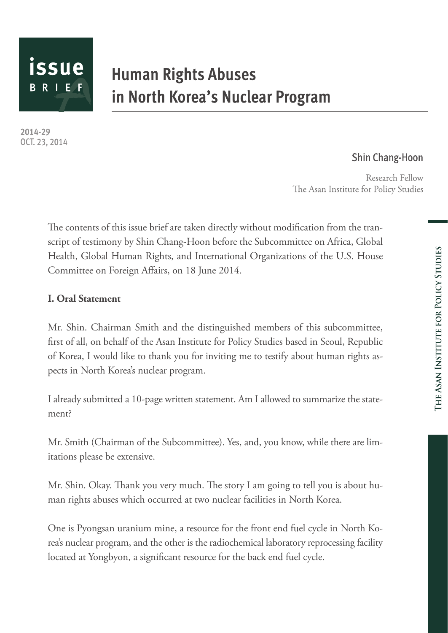

# **Human Rights Abuses** in North Korea's Nuclear Program

2014-29 OCT. 23, 2014

## **Shin Chang-Hoon**

Research Fellow The Asan Institute for Policy Studies

The contents of this issue brief are taken directly without modification from the transcript of testimony by Shin Chang-Hoon before the Subcommittee on Africa, Global Health, Global Human Rights, and International Organizations of the U.S. House Committee on Foreign Affairs, on 18 June 2014.

## **I. Oral Statement**

Mr. Shin. Chairman Smith and the distinguished members of this subcommittee, first of all, on behalf of the Asan Institute for Policy Studies based in Seoul, Republic of Korea, I would like to thank you for inviting me to testify about human rights aspects in North Korea's nuclear program.

I already submitted a 10-page written statement. Am I allowed to summarize the statement?

Mr. Smith (Chairman of the Subcommittee). Yes, and, you know, while there are limitations please be extensive.

Mr. Shin. Okay. Thank you very much. The story I am going to tell you is about human rights abuses which occurred at two nuclear facilities in North Korea.

One is Pyongsan uranium mine, a resource for the front end fuel cycle in North Korea's nuclear program, and the other is the radiochemical laboratory reprocessing facility located at Yongbyon, a significant resource for the back end fuel cycle.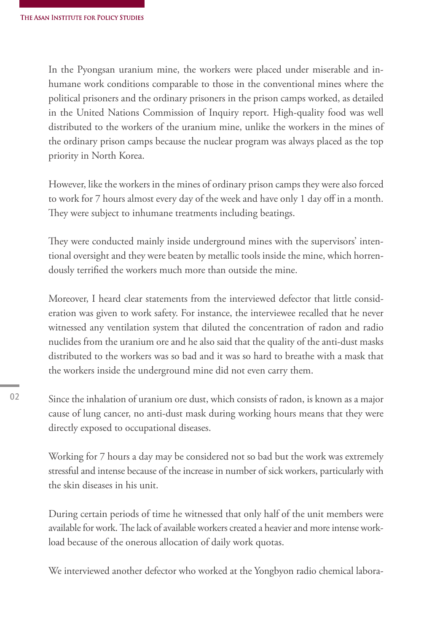In the Pyongsan uranium mine, the workers were placed under miserable and inhumane work conditions comparable to those in the conventional mines where the political prisoners and the ordinary prisoners in the prison camps worked, as detailed in the United Nations Commission of Inquiry report. High-quality food was well distributed to the workers of the uranium mine, unlike the workers in the mines of the ordinary prison camps because the nuclear program was always placed as the top priority in North Korea.

However, like the workers in the mines of ordinary prison camps they were also forced to work for 7 hours almost every day of the week and have only 1 day off in a month. They were subject to inhumane treatments including beatings.

They were conducted mainly inside underground mines with the supervisors' intentional oversight and they were beaten by metallic tools inside the mine, which horrendously terrified the workers much more than outside the mine.

Moreover, I heard clear statements from the interviewed defector that little consideration was given to work safety. For instance, the interviewee recalled that he never witnessed any ventilation system that diluted the concentration of radon and radio nuclides from the uranium ore and he also said that the quality of the anti-dust masks distributed to the workers was so bad and it was so hard to breathe with a mask that the workers inside the underground mine did not even carry them.

Since the inhalation of uranium ore dust, which consists of radon, is known as a major cause of lung cancer, no anti-dust mask during working hours means that they were directly exposed to occupational diseases.

Working for 7 hours a day may be considered not so bad but the work was extremely stressful and intense because of the increase in number of sick workers, particularly with the skin diseases in his unit.

During certain periods of time he witnessed that only half of the unit members were available for work. The lack of available workers created a heavier and more intense workload because of the onerous allocation of daily work quotas.

We interviewed another defector who worked at the Yongbyon radio chemical labora-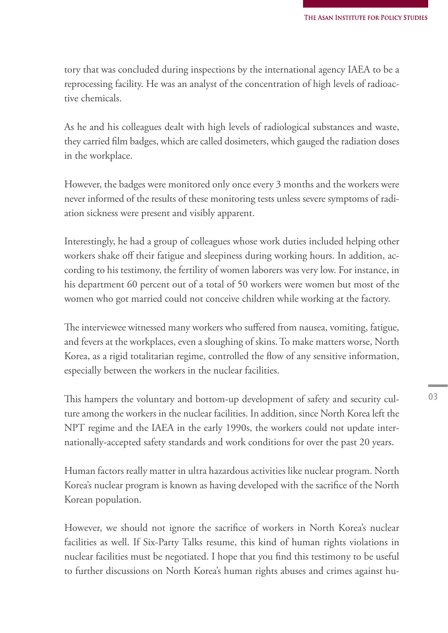tory that was concluded during inspections by the international agency IAEA to be a reprocessing facility. He was an analyst of the concentration of high levels of radioactive chemicals.

As he and his colleagues dealt with high levels of radiological substances and waste, they carried film badges, which are called dosimeters, which gauged the radiation doses in the workplace.

However, the badges were monitored only once every 3 months and the workers were never informed of the results of these monitoring tests unless severe symptoms of radiation sickness were present and visibly apparent.

Interestingly, he had a group of colleagues whose work duties included helping other workers shake off their fatigue and sleepiness during working hours. In addition, according to his testimony, the fertility of women laborers was very low. For instance, in his department 60 percent out of a total of 50 workers were women but most of the women who got married could not conceive children while working at the factory.

The interviewee witnessed many workers who suffered from nausea, vomiting, fatigue, and fevers at the workplaces, even a sloughing of skins. To make matters worse, North Korea, as a rigid totalitarian regime, controlled the flow of any sensitive information, especially between the workers in the nuclear facilities.

This hampers the voluntary and bottom-up development of safety and security culture among the workers in the nuclear facilities. In addition, since North Korea left the NPT regime and the IAEA in the early 1990s, the workers could not update internationally-accepted safety standards and work conditions for over the past 20 years.

Human factors really matter in ultra hazardous activities like nuclear program. North Korea's nuclear program is known as having developed with the sacrifice of the North Korean population.

However, we should not ignore the sacrifice of workers in North Korea's nuclear facilities as well. If Six-Party Talks resume, this kind of human rights violations in nuclear facilities must be negotiated. I hope that you find this testimony to be useful to further discussions on North Korea's human rights abuses and crimes against hu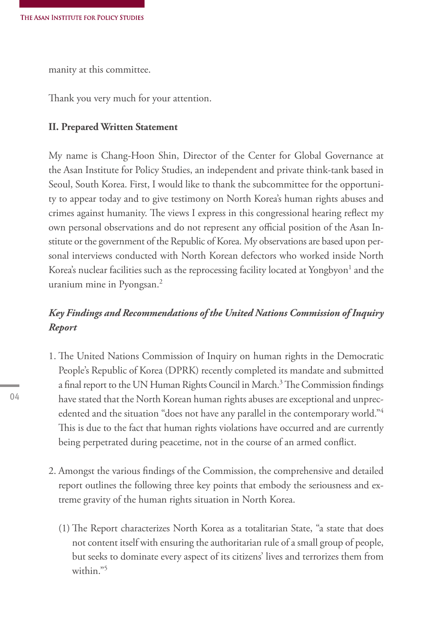manity at this committee.

Thank you very much for your attention.

#### **II. Prepared Written Statement**

My name is Chang-Hoon Shin, Director of the Center for Global Governance at the Asan Institute for Policy Studies, an independent and private think-tank based in Seoul, South Korea. First, I would like to thank the subcommittee for the opportunity to appear today and to give testimony on North Korea's human rights abuses and crimes against humanity. The views I express in this congressional hearing reflect my own personal observations and do not represent any official position of the Asan Institute or the government of the Republic of Korea. My observations are based upon personal interviews conducted with North Korean defectors who worked inside North Korea's nuclear facilities such as the reprocessing facility located at Yongbyon $^{\rm l}$  and the uranium mine in Pyongsan.<sup>2</sup>

## *Key Findings and Recommendations of the United Nations Commission of Inquiry Report*

- 1. The United Nations Commission of Inquiry on human rights in the Democratic People's Republic of Korea (DPRK) recently completed its mandate and submitted a final report to the UN Human Rights Council in March.<sup>3</sup> The Commission findings have stated that the North Korean human rights abuses are exceptional and unprecedented and the situation "does not have any parallel in the contemporary world."<sup>4</sup> This is due to the fact that human rights violations have occurred and are currently being perpetrated during peacetime, not in the course of an armed conflict.
- 2. Amongst the various findings of the Commission, the comprehensive and detailed report outlines the following three key points that embody the seriousness and extreme gravity of the human rights situation in North Korea.
	- (1) The Report characterizes North Korea as a totalitarian State, "a state that does not content itself with ensuring the authoritarian rule of a small group of people, but seeks to dominate every aspect of its citizens' lives and terrorizes them from within."5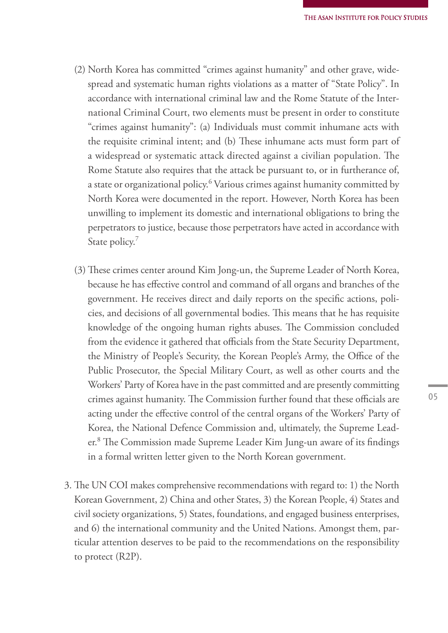- (2) North Korea has committed "crimes against humanity" and other grave, widespread and systematic human rights violations as a matter of "State Policy". In accordance with international criminal law and the Rome Statute of the International Criminal Court, two elements must be present in order to constitute "crimes against humanity": (a) Individuals must commit inhumane acts with the requisite criminal intent; and (b) These inhumane acts must form part of a widespread or systematic attack directed against a civilian population. The Rome Statute also requires that the attack be pursuant to, or in furtherance of, a state or organizational policy.<sup>6</sup> Various crimes against humanity committed by North Korea were documented in the report. However, North Korea has been unwilling to implement its domestic and international obligations to bring the perpetrators to justice, because those perpetrators have acted in accordance with State policy.
- (3) These crimes center around Kim Jong-un, the Supreme Leader of North Korea, because he has effective control and command of all organs and branches of the government. He receives direct and daily reports on the specific actions, policies, and decisions of all governmental bodies. This means that he has requisite knowledge of the ongoing human rights abuses. The Commission concluded from the evidence it gathered that officials from the State Security Department, the Ministry of People's Security, the Korean People's Army, the Office of the Public Prosecutor, the Special Military Court, as well as other courts and the Workers' Party of Korea have in the past committed and are presently committing crimes against humanity. The Commission further found that these officials are acting under the effective control of the central organs of the Workers' Party of Korea, the National Defence Commission and, ultimately, the Supreme Leader.8 The Commission made Supreme Leader Kim Jung-un aware of its findings in a formal written letter given to the North Korean government.
- 3. The UN COI makes comprehensive recommendations with regard to: 1) the North Korean Government, 2) China and other States, 3) the Korean People, 4) States and civil society organizations, 5) States, foundations, and engaged business enterprises, and 6) the international community and the United Nations. Amongst them, particular attention deserves to be paid to the recommendations on the responsibility to protect (R2P).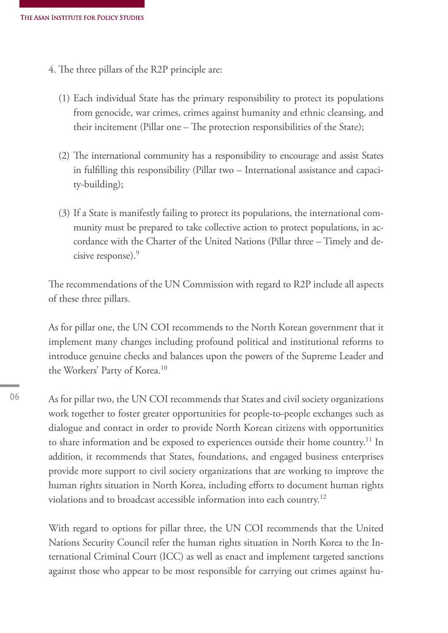- 4. The three pillars of the R2P principle are:
	- (1) Each individual State has the primary responsibility to protect its populations from genocide, war crimes, crimes against humanity and ethnic cleansing, and their incitement (Pillar one – The protection responsibilities of the State);
	- (2) The international community has a responsibility to encourage and assist States in fulfilling this responsibility (Pillar two – International assistance and capacity-building);
	- (3) If a State is manifestly failing to protect its populations, the international community must be prepared to take collective action to protect populations, in accordance with the Charter of the United Nations (Pillar three – Timely and decisive response).<sup>9</sup>

The recommendations of the UN Commission with regard to R2P include all aspects of these three pillars.

As for pillar one, the UN COI recommends to the North Korean government that it implement many changes including profound political and institutional reforms to introduce genuine checks and balances upon the powers of the Supreme Leader and the Workers' Party of Korea.<sup>10</sup>

06

As for pillar two, the UN COI recommends that States and civil society organizations work together to foster greater opportunities for people-to-people exchanges such as dialogue and contact in order to provide North Korean citizens with opportunities to share information and be exposed to experiences outside their home country.<sup>11</sup> In addition, it recommends that States, foundations, and engaged business enterprises provide more support to civil society organizations that are working to improve the human rights situation in North Korea, including efforts to document human rights violations and to broadcast accessible information into each country.<sup>12</sup>

With regard to options for pillar three, the UN COI recommends that the United Nations Security Council refer the human rights situation in North Korea to the International Criminal Court (ICC) as well as enact and implement targeted sanctions against those who appear to be most responsible for carrying out crimes against hu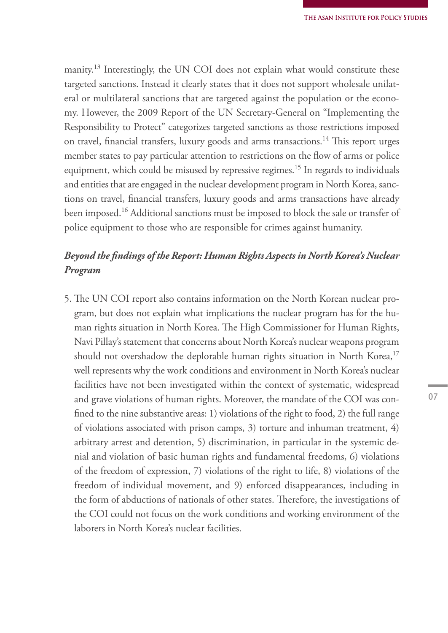manity.<sup>13</sup> Interestingly, the UN COI does not explain what would constitute these targeted sanctions. Instead it clearly states that it does not support wholesale unilateral or multilateral sanctions that are targeted against the population or the economy. However, the 2009 Report of the UN Secretary-General on "Implementing the Responsibility to Protect" categorizes targeted sanctions as those restrictions imposed on travel, financial transfers, luxury goods and arms transactions.<sup>14</sup> This report urges member states to pay particular attention to restrictions on the flow of arms or police equipment, which could be misused by repressive regimes.<sup>15</sup> In regards to individuals and entities that are engaged in the nuclear development program in North Korea, sanctions on travel, financial transfers, luxury goods and arms transactions have already been imposed.<sup>16</sup> Additional sanctions must be imposed to block the sale or transfer of police equipment to those who are responsible for crimes against humanity.

## *Beyond the findings of the Report: Human Rights Aspects in North Korea's Nuclear Program*

5. The UN COI report also contains information on the North Korean nuclear program, but does not explain what implications the nuclear program has for the human rights situation in North Korea. The High Commissioner for Human Rights, Navi Pillay's statement that concerns about North Korea's nuclear weapons program should not overshadow the deplorable human rights situation in North Korea,<sup>17</sup> well represents why the work conditions and environment in North Korea's nuclear facilities have not been investigated within the context of systematic, widespread and grave violations of human rights. Moreover, the mandate of the COI was confined to the nine substantive areas: 1) violations of the right to food, 2) the full range of violations associated with prison camps, 3) torture and inhuman treatment, 4) arbitrary arrest and detention, 5) discrimination, in particular in the systemic denial and violation of basic human rights and fundamental freedoms, 6) violations of the freedom of expression, 7) violations of the right to life, 8) violations of the freedom of individual movement, and 9) enforced disappearances, including in the form of abductions of nationals of other states. Therefore, the investigations of the COI could not focus on the work conditions and working environment of the laborers in North Korea's nuclear facilities.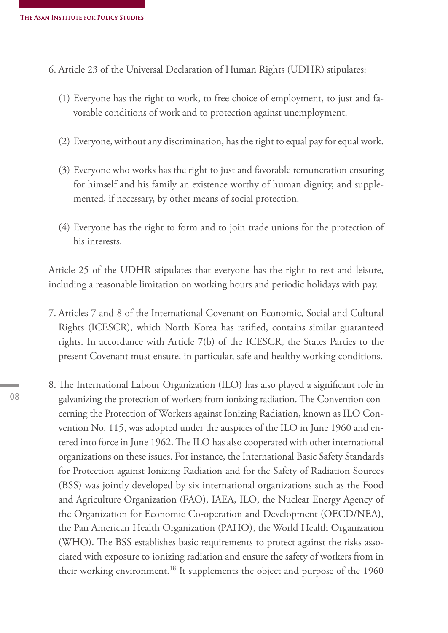6. Article 23 of the Universal Declaration of Human Rights (UDHR) stipulates:

- (1) Everyone has the right to work, to free choice of employment, to just and favorable conditions of work and to protection against unemployment.
- (2) Everyone, without any discrimination, has the right to equal pay for equal work.
- (3) Everyone who works has the right to just and favorable remuneration ensuring for himself and his family an existence worthy of human dignity, and supplemented, if necessary, by other means of social protection.
- (4) Everyone has the right to form and to join trade unions for the protection of his interests.

Article 25 of the UDHR stipulates that everyone has the right to rest and leisure, including a reasonable limitation on working hours and periodic holidays with pay.

- 7. Articles 7 and 8 of the International Covenant on Economic, Social and Cultural Rights (ICESCR), which North Korea has ratified, contains similar guaranteed rights. In accordance with Article 7(b) of the ICESCR, the States Parties to the present Covenant must ensure, in particular, safe and healthy working conditions.
- 8. The International Labour Organization (ILO) has also played a significant role in galvanizing the protection of workers from ionizing radiation. The Convention concerning the Protection of Workers against Ionizing Radiation, known as ILO Convention No. 115, was adopted under the auspices of the ILO in June 1960 and entered into force in June 1962. The ILO has also cooperated with other international organizations on these issues. For instance, the International Basic Safety Standards for Protection against Ionizing Radiation and for the Safety of Radiation Sources (BSS) was jointly developed by six international organizations such as the Food and Agriculture Organization (FAO), IAEA, ILO, the Nuclear Energy Agency of the Organization for Economic Co-operation and Development (OECD/NEA), the Pan American Health Organization (PAHO), the World Health Organization (WHO). The BSS establishes basic requirements to protect against the risks associated with exposure to ionizing radiation and ensure the safety of workers from in their working environment.<sup>18</sup> It supplements the object and purpose of the 1960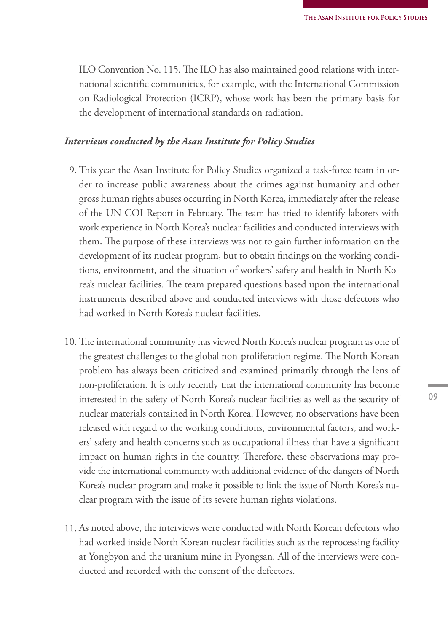ILO Convention No. 115. The ILO has also maintained good relations with international scientific communities, for example, with the International Commission on Radiological Protection (ICRP), whose work has been the primary basis for the development of international standards on radiation.

#### *Interviews conducted by the Asan Institute for Policy Studies*

- 9. This year the Asan Institute for Policy Studies organized a task-force team in order to increase public awareness about the crimes against humanity and other gross human rights abuses occurring in North Korea, immediately after the release of the UN COI Report in February. The team has tried to identify laborers with work experience in North Korea's nuclear facilities and conducted interviews with them. The purpose of these interviews was not to gain further information on the development of its nuclear program, but to obtain findings on the working conditions, environment, and the situation of workers' safety and health in North Korea's nuclear facilities. The team prepared questions based upon the international instruments described above and conducted interviews with those defectors who had worked in North Korea's nuclear facilities.
- 10. The international community has viewed North Korea's nuclear program as one of the greatest challenges to the global non-proliferation regime. The North Korean problem has always been criticized and examined primarily through the lens of non-proliferation. It is only recently that the international community has become interested in the safety of North Korea's nuclear facilities as well as the security of nuclear materials contained in North Korea. However, no observations have been released with regard to the working conditions, environmental factors, and workers' safety and health concerns such as occupational illness that have a significant impact on human rights in the country. Therefore, these observations may provide the international community with additional evidence of the dangers of North Korea's nuclear program and make it possible to link the issue of North Korea's nuclear program with the issue of its severe human rights violations.
- 11. As noted above, the interviews were conducted with North Korean defectors who had worked inside North Korean nuclear facilities such as the reprocessing facility at Yongbyon and the uranium mine in Pyongsan. All of the interviews were conducted and recorded with the consent of the defectors.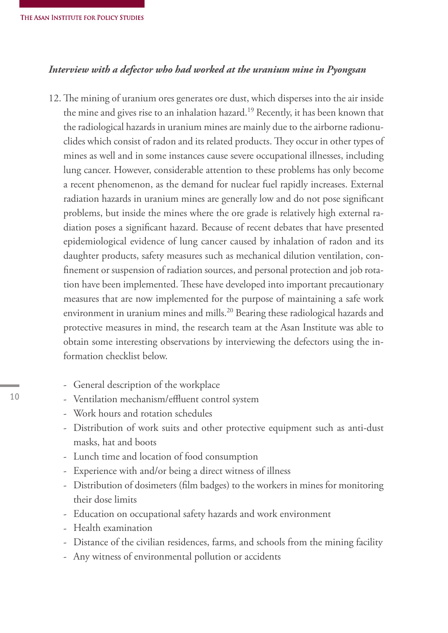#### *Interview with a defector who had worked at the uranium mine in Pyongsan*

- 12. The mining of uranium ores generates ore dust, which disperses into the air inside the mine and gives rise to an inhalation hazard.<sup>19</sup> Recently, it has been known that the radiological hazards in uranium mines are mainly due to the airborne radionuclides which consist of radon and its related products. They occur in other types of mines as well and in some instances cause severe occupational illnesses, including lung cancer. However, considerable attention to these problems has only become a recent phenomenon, as the demand for nuclear fuel rapidly increases. External radiation hazards in uranium mines are generally low and do not pose significant problems, but inside the mines where the ore grade is relatively high external radiation poses a significant hazard. Because of recent debates that have presented epidemiological evidence of lung cancer caused by inhalation of radon and its daughter products, safety measures such as mechanical dilution ventilation, confinement or suspension of radiation sources, and personal protection and job rotation have been implemented. These have developed into important precautionary measures that are now implemented for the purpose of maintaining a safe work environment in uranium mines and mills.<sup>20</sup> Bearing these radiological hazards and protective measures in mind, the research team at the Asan Institute was able to obtain some interesting observations by interviewing the defectors using the information checklist below.
	- General description of the workplace
	- Ventilation mechanism/effluent control system
	- Work hours and rotation schedules
	- Distribution of work suits and other protective equipment such as anti-dust masks, hat and boots
	- Lunch time and location of food consumption
	- Experience with and/or being a direct witness of illness
	- Distribution of dosimeters (film badges) to the workers in mines for monitoring their dose limits
	- Education on occupational safety hazards and work environment
	- Health examination
	- Distance of the civilian residences, farms, and schools from the mining facility
	- Any witness of environmental pollution or accidents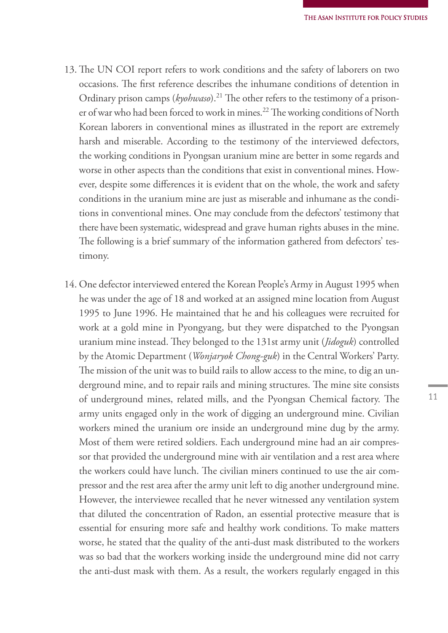- 13. The UN COI report refers to work conditions and the safety of laborers on two occasions. The first reference describes the inhumane conditions of detention in Ordinary prison camps (*kyohwaso*).21 The other refers to the testimony of a prisoner of war who had been forced to work in mines.<sup>22</sup> The working conditions of North Korean laborers in conventional mines as illustrated in the report are extremely harsh and miserable. According to the testimony of the interviewed defectors, the working conditions in Pyongsan uranium mine are better in some regards and worse in other aspects than the conditions that exist in conventional mines. However, despite some differences it is evident that on the whole, the work and safety conditions in the uranium mine are just as miserable and inhumane as the conditions in conventional mines. One may conclude from the defectors' testimony that there have been systematic, widespread and grave human rights abuses in the mine. The following is a brief summary of the information gathered from defectors' testimony.
- 14. One defector interviewed entered the Korean People's Army in August 1995 when he was under the age of 18 and worked at an assigned mine location from August 1995 to June 1996. He maintained that he and his colleagues were recruited for work at a gold mine in Pyongyang, but they were dispatched to the Pyongsan uranium mine instead. They belonged to the 131st army unit (*Jidoguk*) controlled by the Atomic Department (*Wonjaryok Chong-guk*) in the Central Workers' Party. The mission of the unit was to build rails to allow access to the mine, to dig an underground mine, and to repair rails and mining structures. The mine site consists of underground mines, related mills, and the Pyongsan Chemical factory. The army units engaged only in the work of digging an underground mine. Civilian workers mined the uranium ore inside an underground mine dug by the army. Most of them were retired soldiers. Each underground mine had an air compressor that provided the underground mine with air ventilation and a rest area where the workers could have lunch. The civilian miners continued to use the air compressor and the rest area after the army unit left to dig another underground mine. However, the interviewee recalled that he never witnessed any ventilation system that diluted the concentration of Radon, an essential protective measure that is essential for ensuring more safe and healthy work conditions. To make matters worse, he stated that the quality of the anti-dust mask distributed to the workers was so bad that the workers working inside the underground mine did not carry the anti-dust mask with them. As a result, the workers regularly engaged in this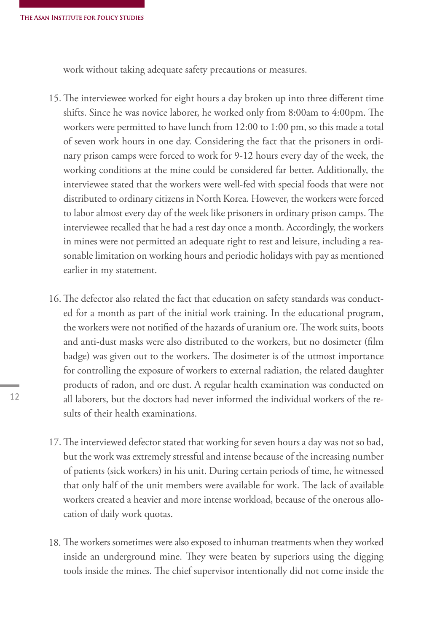work without taking adequate safety precautions or measures.

- 15. The interviewee worked for eight hours a day broken up into three different time shifts. Since he was novice laborer, he worked only from 8:00am to 4:00pm. The workers were permitted to have lunch from 12:00 to 1:00 pm, so this made a total of seven work hours in one day. Considering the fact that the prisoners in ordinary prison camps were forced to work for 9-12 hours every day of the week, the working conditions at the mine could be considered far better. Additionally, the interviewee stated that the workers were well-fed with special foods that were not distributed to ordinary citizens in North Korea. However, the workers were forced to labor almost every day of the week like prisoners in ordinary prison camps. The interviewee recalled that he had a rest day once a month. Accordingly, the workers in mines were not permitted an adequate right to rest and leisure, including a reasonable limitation on working hours and periodic holidays with pay as mentioned earlier in my statement.
- 16. The defector also related the fact that education on safety standards was conducted for a month as part of the initial work training. In the educational program, the workers were not notified of the hazards of uranium ore. The work suits, boots and anti-dust masks were also distributed to the workers, but no dosimeter (film badge) was given out to the workers. The dosimeter is of the utmost importance for controlling the exposure of workers to external radiation, the related daughter products of radon, and ore dust. A regular health examination was conducted on all laborers, but the doctors had never informed the individual workers of the results of their health examinations.
- 17. The interviewed defector stated that working for seven hours a day was not so bad, but the work was extremely stressful and intense because of the increasing number of patients (sick workers) in his unit. During certain periods of time, he witnessed that only half of the unit members were available for work. The lack of available workers created a heavier and more intense workload, because of the onerous allocation of daily work quotas.
- 18. The workers sometimes were also exposed to inhuman treatments when they worked inside an underground mine. They were beaten by superiors using the digging tools inside the mines. The chief supervisor intentionally did not come inside the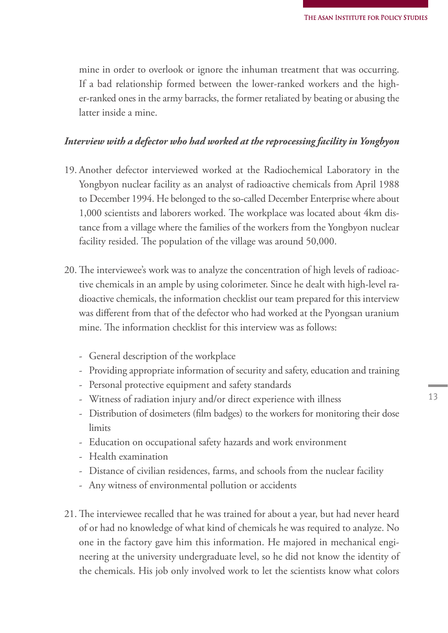mine in order to overlook or ignore the inhuman treatment that was occurring. If a bad relationship formed between the lower-ranked workers and the higher-ranked ones in the army barracks, the former retaliated by beating or abusing the latter inside a mine.

#### *Interview with a defector who had worked at the reprocessing facility in Yongbyon*

- 19. Another defector interviewed worked at the Radiochemical Laboratory in the Yongbyon nuclear facility as an analyst of radioactive chemicals from April 1988 to December 1994. He belonged to the so-called December Enterprise where about 1,000 scientists and laborers worked. The workplace was located about 4km distance from a village where the families of the workers from the Yongbyon nuclear facility resided. The population of the village was around 50,000.
- 20. The interviewee's work was to analyze the concentration of high levels of radioactive chemicals in an ample by using colorimeter. Since he dealt with high-level radioactive chemicals, the information checklist our team prepared for this interview was different from that of the defector who had worked at the Pyongsan uranium mine. The information checklist for this interview was as follows:
	- General description of the workplace
	- Providing appropriate information of security and safety, education and training
	- Personal protective equipment and safety standards
	- Witness of radiation injury and/or direct experience with illness
	- Distribution of dosimeters (film badges) to the workers for monitoring their dose limits
	- Education on occupational safety hazards and work environment
	- Health examination
	- Distance of civilian residences, farms, and schools from the nuclear facility
	- Any witness of environmental pollution or accidents
- 21. The interviewee recalled that he was trained for about a year, but had never heard of or had no knowledge of what kind of chemicals he was required to analyze. No one in the factory gave him this information. He majored in mechanical engineering at the university undergraduate level, so he did not know the identity of the chemicals. His job only involved work to let the scientists know what colors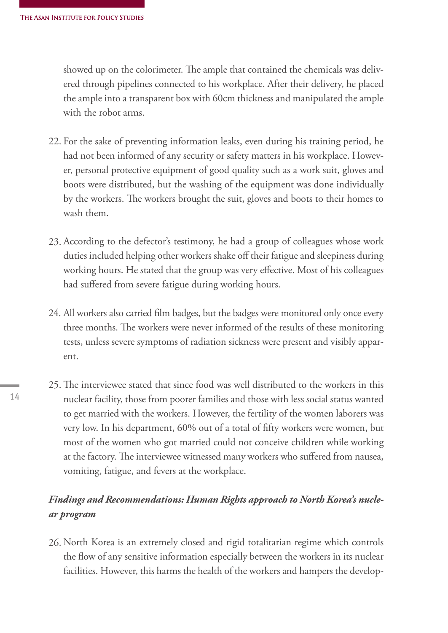showed up on the colorimeter. The ample that contained the chemicals was delivered through pipelines connected to his workplace. After their delivery, he placed the ample into a transparent box with 60cm thickness and manipulated the ample with the robot arms.

- 22. For the sake of preventing information leaks, even during his training period, he had not been informed of any security or safety matters in his workplace. However, personal protective equipment of good quality such as a work suit, gloves and boots were distributed, but the washing of the equipment was done individually by the workers. The workers brought the suit, gloves and boots to their homes to wash them.
- 23. According to the defector's testimony, he had a group of colleagues whose work duties included helping other workers shake off their fatigue and sleepiness during working hours. He stated that the group was very effective. Most of his colleagues had suffered from severe fatigue during working hours.
- 24. All workers also carried film badges, but the badges were monitored only once every three months. The workers were never informed of the results of these monitoring tests, unless severe symptoms of radiation sickness were present and visibly apparent.
- 25. The interviewee stated that since food was well distributed to the workers in this nuclear facility, those from poorer families and those with less social status wanted to get married with the workers. However, the fertility of the women laborers was very low. In his department, 60% out of a total of fifty workers were women, but most of the women who got married could not conceive children while working at the factory. The interviewee witnessed many workers who suffered from nausea, vomiting, fatigue, and fevers at the workplace.

## *Findings and Recommendations: Human Rights approach to North Korea's nuclear program*

26. North Korea is an extremely closed and rigid totalitarian regime which controls the flow of any sensitive information especially between the workers in its nuclear facilities. However, this harms the health of the workers and hampers the develop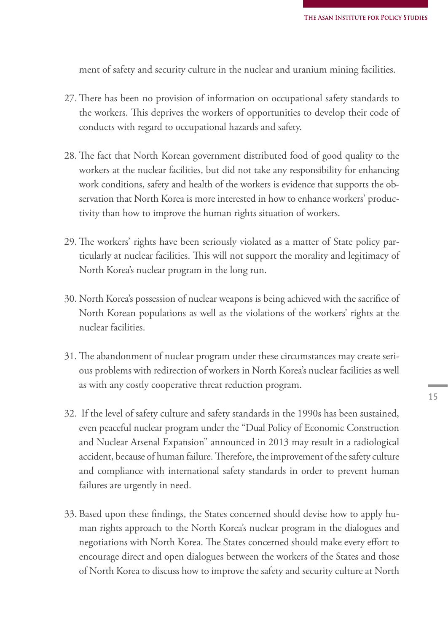ment of safety and security culture in the nuclear and uranium mining facilities.

- 27. There has been no provision of information on occupational safety standards to the workers. This deprives the workers of opportunities to develop their code of conducts with regard to occupational hazards and safety.
- 28. The fact that North Korean government distributed food of good quality to the workers at the nuclear facilities, but did not take any responsibility for enhancing work conditions, safety and health of the workers is evidence that supports the observation that North Korea is more interested in how to enhance workers' productivity than how to improve the human rights situation of workers.
- 29. The workers' rights have been seriously violated as a matter of State policy particularly at nuclear facilities. This will not support the morality and legitimacy of North Korea's nuclear program in the long run.
- 30. North Korea's possession of nuclear weapons is being achieved with the sacrifice of North Korean populations as well as the violations of the workers' rights at the nuclear facilities.
- 31. The abandonment of nuclear program under these circumstances may create serious problems with redirection of workers in North Korea's nuclear facilities as well as with any costly cooperative threat reduction program.
- 32. If the level of safety culture and safety standards in the 1990s has been sustained, even peaceful nuclear program under the "Dual Policy of Economic Construction and Nuclear Arsenal Expansion" announced in 2013 may result in a radiological accident, because of human failure. Therefore, the improvement of the safety culture and compliance with international safety standards in order to prevent human failures are urgently in need.
- 33. Based upon these findings, the States concerned should devise how to apply human rights approach to the North Korea's nuclear program in the dialogues and negotiations with North Korea. The States concerned should make every effort to encourage direct and open dialogues between the workers of the States and those of North Korea to discuss how to improve the safety and security culture at North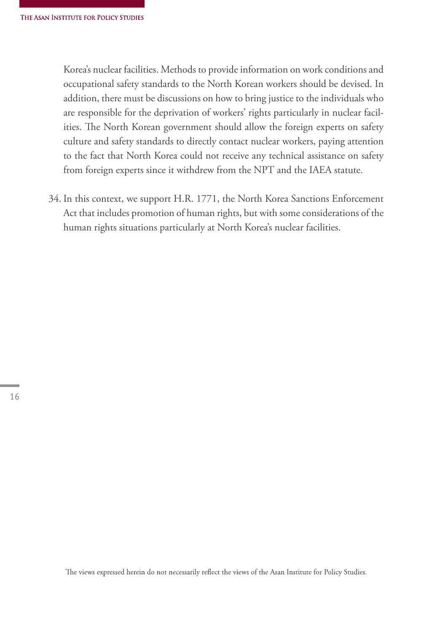Korea's nuclear facilities. Methods to provide information on work conditions and occupational safety standards to the North Korean workers should be devised. In addition, there must be discussions on how to bring justice to the individuals who are responsible for the deprivation of workers' rights particularly in nuclear facilities. The North Korean government should allow the foreign experts on safety culture and safety standards to directly contact nuclear workers, paying attention to the fact that North Korea could not receive any technical assistance on safety from foreign experts since it withdrew from the NPT and the IAEA statute.

34. In this context, we support H.R. 1771, the North Korea Sanctions Enforcement Act that includes promotion of human rights, but with some considerations of the human rights situations particularly at North Korea's nuclear facilities.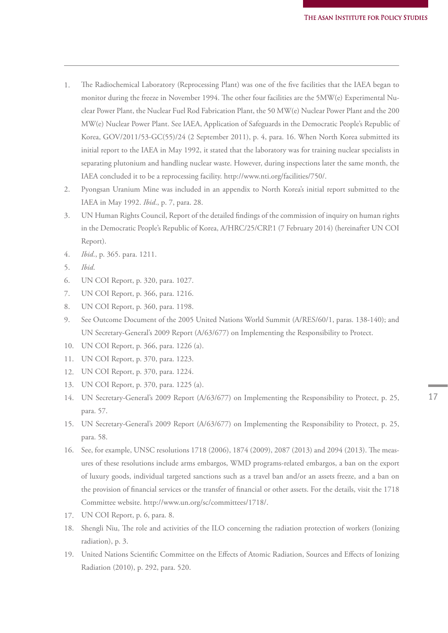- The Radiochemical Laboratory (Reprocessing Plant) was one of the five facilities that the IAEA began to monitor during the freeze in November 1994. The other four facilities are the 5MW(e) Experimental Nuclear Power Plant, the Nuclear Fuel Rod Fabrication Plant, the 50 MW(e) Nuclear Power Plant and the 200 MW(e) Nuclear Power Plant. See IAEA, Application of Safeguards in the Democratic People's Republic of Korea, GOV/2011/53-GC(55)/24 (2 September 2011), p. 4, para. 16. When North Korea submitted its initial report to the IAEA in May 1992, it stated that the laboratory was for training nuclear specialists in separating plutonium and handling nuclear waste. However, during inspections later the same month, the IAEA concluded it to be a reprocessing facility. http://www.nti.org/facilities/750/. 1.
- Pyongsan Uranium Mine was included in an appendix to North Korea's initial report submitted to the IAEA in May 1992. *Ibid*., p. 7, para. 28. 2.
- UN Human Rights Council, Report of the detailed findings of the commission of inquiry on human rights in the Democratic People's Republic of Korea, A/HRC/25/CRP.1 (7 February 2014) (hereinafter UN COI Report). 3.
- *Ibid*., p. 365. para. 1211. 4.
- *Ibid*. 5.
- UN COI Report, p. 320, para. 1027. 6.
- UN COI Report, p. 366, para. 1216. 7.
- UN COI Report, p. 360, para. 1198. 8.
- See Outcome Document of the 2005 United Nations World Summit (A/RES/60/1, paras. 138-140); and UN Secretary-General's 2009 Report (A/63/677) on Implementing the Responsibility to Protect. 9.
- UN COI Report, p. 366, para. 1226 (a). 10.
- UN COI Report, p. 370, para. 1223. 11.
- 12. UN COI Report, p. 370, para. 1224.
- UN COI Report, p. 370, para. 1225 (a). 13.
- UN Secretary-General's 2009 Report (A/63/677) on Implementing the Responsibility to Protect, p. 25, 14. para. 57.
- UN Secretary-General's 2009 Report (A/63/677) on Implementing the Responsibility to Protect, p. 25, 15. para. 58.
- 16. See, for example, UNSC resolutions 1718 (2006), 1874 (2009), 2087 (2013) and 2094 (2013). The measures of these resolutions include arms embargos, WMD programs-related embargos, a ban on the export of luxury goods, individual targeted sanctions such as a travel ban and/or an assets freeze, and a ban on the provision of financial services or the transfer of financial or other assets. For the details, visit the 1718 Committee website. http://www.un.org/sc/committees/1718/.
- UN COI Report, p. 6, para. 8. 17.
- Shengli Niu, The role and activities of the ILO concerning the radiation protection of workers (Ionizing 18. radiation), p. 3.
- United Nations Scientific Committee on the Effects of Atomic Radiation, Sources and Effects of Ionizing 19.Radiation (2010), p. 292, para. 520.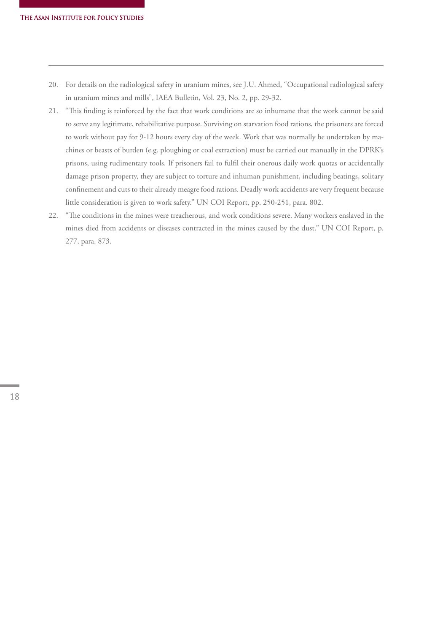- For details on the radiological safety in uranium mines, see J.U. Ahmed, "Occupational radiological safety 20. in uranium mines and mills", IAEA Bulletin, Vol. 23, No. 2, pp. 29-32.
- "This finding is reinforced by the fact that work conditions are so inhumane that the work cannot be said 21. to serve any legitimate, rehabilitative purpose. Surviving on starvation food rations, the prisoners are forced to work without pay for 9-12 hours every day of the week. Work that was normally be undertaken by machines or beasts of burden (e.g. ploughing or coal extraction) must be carried out manually in the DPRK's prisons, using rudimentary tools. If prisoners fail to fulfil their onerous daily work quotas or accidentally damage prison property, they are subject to torture and inhuman punishment, including beatings, solitary confinement and cuts to their already meagre food rations. Deadly work accidents are very frequent because little consideration is given to work safety." UN COI Report, pp. 250-251, para. 802.
- "The conditions in the mines were treacherous, and work conditions severe. Many workers enslaved in the 22.mines died from accidents or diseases contracted in the mines caused by the dust." UN COI Report, p. 277, para. 873.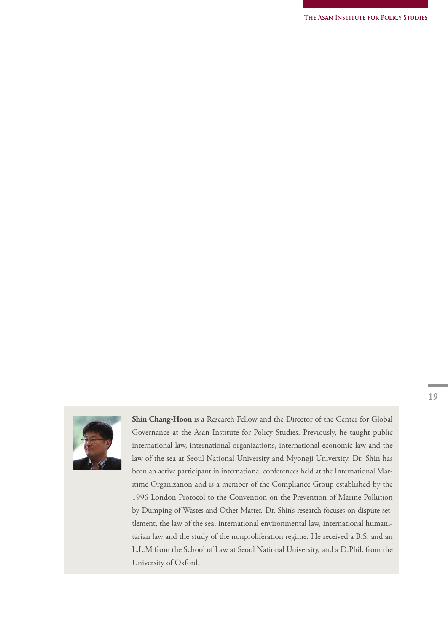

**Shin Chang-Hoon** is a Research Fellow and the Director of the Center for Global Governance at the Asan Institute for Policy Studies. Previously, he taught public international law, international organizations, international economic law and the law of the sea at Seoul National University and Myongji University. Dr. Shin has been an active participant in international conferences held at the International Maritime Organization and is a member of the Compliance Group established by the 1996 London Protocol to the Convention on the Prevention of Marine Pollution by Dumping of Wastes and Other Matter. Dr. Shin's research focuses on dispute settlement, the law of the sea, international environmental law, international humanitarian law and the study of the nonproliferation regime. He received a B.S. and an L.L.M from the School of Law at Seoul National University, and a D.Phil. from the University of Oxford.